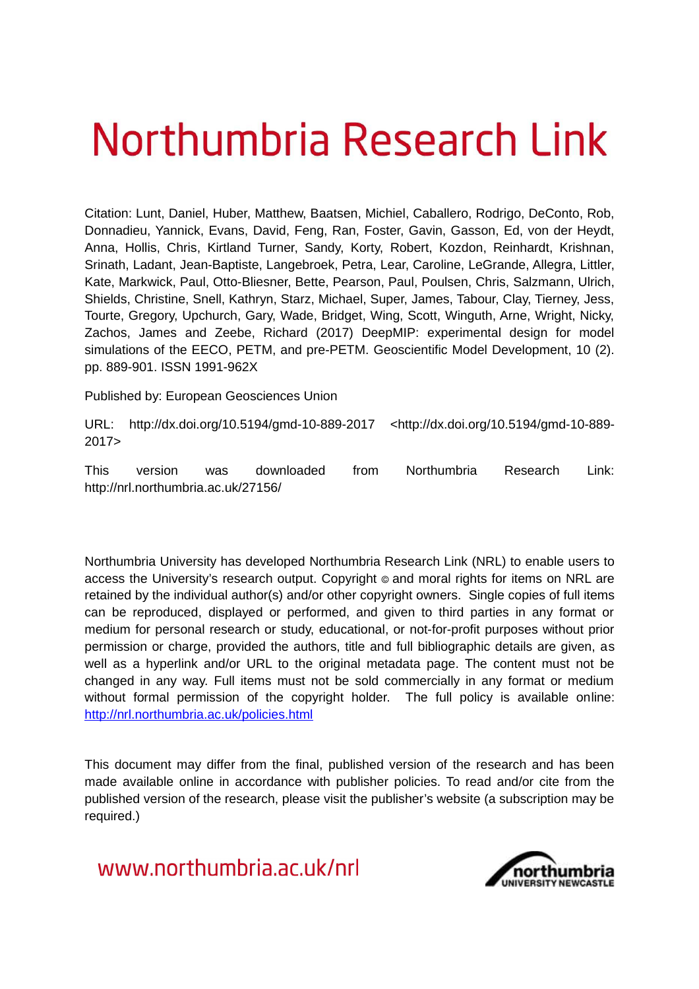# Northumbria Research Link

Citation: Lunt, Daniel, Huber, Matthew, Baatsen, Michiel, Caballero, Rodrigo, DeConto, Rob, Donnadieu, Yannick, Evans, David, Feng, Ran, Foster, Gavin, Gasson, Ed, von der Heydt, Anna, Hollis, Chris, Kirtland Turner, Sandy, Korty, Robert, Kozdon, Reinhardt, Krishnan, Srinath, Ladant, Jean-Baptiste, Langebroek, Petra, Lear, Caroline, LeGrande, Allegra, Littler, Kate, Markwick, Paul, Otto-Bliesner, Bette, Pearson, Paul, Poulsen, Chris, Salzmann, Ulrich, Shields, Christine, Snell, Kathryn, Starz, Michael, Super, James, Tabour, Clay, Tierney, Jess, Tourte, Gregory, Upchurch, Gary, Wade, Bridget, Wing, Scott, Winguth, Arne, Wright, Nicky, Zachos, James and Zeebe, Richard (2017) DeepMIP: experimental design for model simulations of the EECO, PETM, and pre-PETM. Geoscientific Model Development, 10 (2). pp. 889-901. ISSN 1991-962X

Published by: European Geosciences Union

URL: http://dx.doi.org/10.5194/gmd-10-889-2017 <http://dx.doi.org/10.5194/gmd-10-889- 2017>

This version was downloaded from Northumbria Research Link: http://nrl.northumbria.ac.uk/27156/

Northumbria University has developed Northumbria Research Link (NRL) to enable users to access the University's research output. Copyright  $\circ$  and moral rights for items on NRL are retained by the individual author(s) and/or other copyright owners. Single copies of full items can be reproduced, displayed or performed, and given to third parties in any format or medium for personal research or study, educational, or not-for-profit purposes without prior permission or charge, provided the authors, title and full bibliographic details are given, as well as a hyperlink and/or URL to the original metadata page. The content must not be changed in any way. Full items must not be sold commercially in any format or medium without formal permission of the copyright holder. The full policy is available online: <http://nrl.northumbria.ac.uk/policies.html>

This document may differ from the final, published version of the research and has been made available online in accordance with publisher policies. To read and/or cite from the published version of the research, please visit the publisher's website (a subscription may be required.)

# www.northumbria.ac.uk/nrl

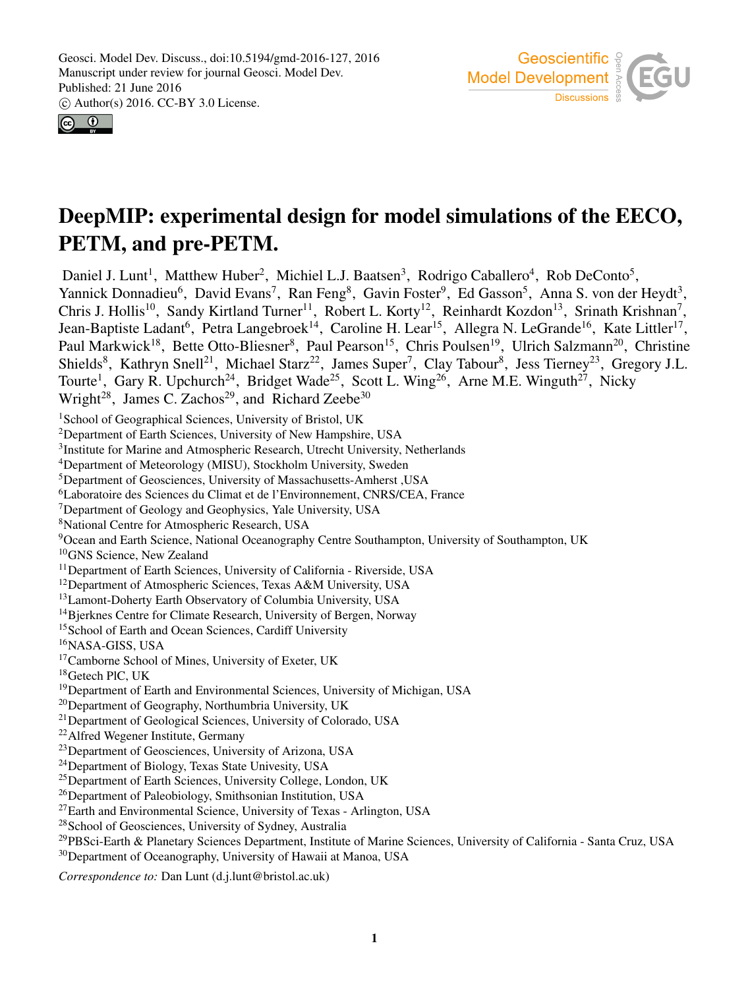



# DeepMIP: experimental design for model simulations of the EECO, PETM, and pre-PETM.

Daniel J. Lunt<sup>1</sup>, Matthew Huber<sup>2</sup>, Michiel L.J. Baatsen<sup>3</sup>, Rodrigo Caballero<sup>4</sup>, Rob DeConto<sup>5</sup>, Yannick Donnadieu<sup>6</sup>, David Evans<sup>7</sup>, Ran Feng<sup>8</sup>, Gavin Foster<sup>9</sup>, Ed Gasson<sup>5</sup>, Anna S. von der Heydt<sup>3</sup>, Chris J. Hollis<sup>10</sup>, Sandy Kirtland Turner<sup>11</sup>, Robert L. Korty<sup>12</sup>, Reinhardt Kozdon<sup>13</sup>, Srinath Krishnan<sup>7</sup>, Jean-Baptiste Ladant<sup>6</sup>, Petra Langebroek<sup>14</sup>, Caroline H. Lear<sup>15</sup>, Allegra N. LeGrande<sup>16</sup>, Kate Littler<sup>17</sup>, Paul Markwick<sup>18</sup>, Bette Otto-Bliesner<sup>8</sup>, Paul Pearson<sup>15</sup>, Chris Poulsen<sup>19</sup>, Ulrich Salzmann<sup>20</sup>, Christine Shields<sup>8</sup>, Kathryn Snell<sup>21</sup>, Michael Starz<sup>22</sup>, James Super<sup>7</sup>, Clay Tabour<sup>8</sup>, Jess Tierney<sup>23</sup>, Gregory J.L. Tourte<sup>1</sup>, Gary R. Upchurch<sup>24</sup>, Bridget Wade<sup>25</sup>, Scott L. Wing<sup>26</sup>, Arne M.E. Winguth<sup>27</sup>, Nicky Wright<sup>28</sup>, James C. Zachos<sup>29</sup>, and Richard Zeebe<sup>30</sup> <sup>1</sup>School of Geographical Sciences, University of Bristol, UK <sup>2</sup>Department of Earth Sciences, University of New Hampshire, USA <sup>3</sup>Institute for Marine and Atmospheric Research, Utrecht University, Netherlands <sup>4</sup>Department of Meteorology (MISU), Stockholm University, Sweden <sup>5</sup>Department of Geosciences, University of Massachusetts-Amherst ,USA <sup>6</sup>Laboratoire des Sciences du Climat et de l'Environnement, CNRS/CEA, France <sup>7</sup>Department of Geology and Geophysics, Yale University, USA <sup>8</sup>National Centre for Atmospheric Research, USA <sup>9</sup>Ocean and Earth Science, National Oceanography Centre Southampton, University of Southampton, UK <sup>10</sup>GNS Science, New Zealand <sup>11</sup>Department of Earth Sciences, University of California - Riverside, USA <sup>12</sup>Department of Atmospheric Sciences, Texas A&M University, USA <sup>13</sup>Lamont-Doherty Earth Observatory of Columbia University, USA <sup>14</sup>Bierknes Centre for Climate Research, University of Bergen, Norway <sup>15</sup>School of Earth and Ocean Sciences, Cardiff University <sup>16</sup>NASA-GISS, USA <sup>17</sup>Camborne School of Mines, University of Exeter, UK <sup>18</sup>Getech PlC, UK <sup>19</sup>Department of Earth and Environmental Sciences, University of Michigan, USA <sup>20</sup>Department of Geography, Northumbria University, UK <sup>21</sup>Department of Geological Sciences, University of Colorado, USA <sup>22</sup>Alfred Wegener Institute, Germany <sup>23</sup>Department of Geosciences, University of Arizona, USA <sup>24</sup>Department of Biology, Texas State Univesity, USA <sup>25</sup>Department of Earth Sciences, University College, London, UK <sup>26</sup>Department of Paleobiology, Smithsonian Institution, USA <sup>27</sup>Earth and Environmental Science, University of Texas - Arlington, USA <sup>28</sup>School of Geosciences, University of Sydney, Australia <sup>29</sup>PBSci-Earth & Planetary Sciences Department, Institute of Marine Sciences, University of California - Santa Cruz, USA <sup>30</sup>Department of Oceanography, University of Hawaii at Manoa, USA

*Correspondence to:* Dan Lunt (d.j.lunt@bristol.ac.uk)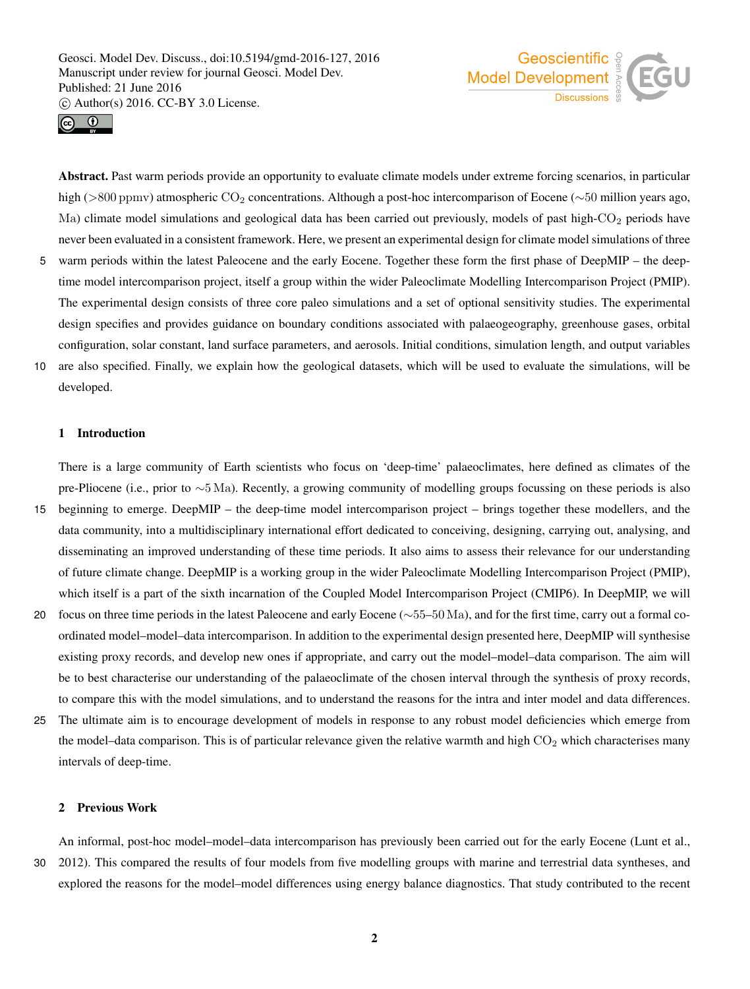



Abstract. Past warm periods provide an opportunity to evaluate climate models under extreme forcing scenarios, in particular high (>800 ppmv) atmospheric CO<sub>2</sub> concentrations. Although a post-hoc intercomparison of Eocene (∼50 million years ago, Ma) climate model simulations and geological data has been carried out previously, models of past high-CO<sub>2</sub> periods have never been evaluated in a consistent framework. Here, we present an experimental design for climate model simulations of three

- 5 warm periods within the latest Paleocene and the early Eocene. Together these form the first phase of DeepMIP the deeptime model intercomparison project, itself a group within the wider Paleoclimate Modelling Intercomparison Project (PMIP). The experimental design consists of three core paleo simulations and a set of optional sensitivity studies. The experimental design specifies and provides guidance on boundary conditions associated with palaeogeography, greenhouse gases, orbital configuration, solar constant, land surface parameters, and aerosols. Initial conditions, simulation length, and output variables
- 10 are also specified. Finally, we explain how the geological datasets, which will be used to evaluate the simulations, will be developed.

#### 1 Introduction

There is a large community of Earth scientists who focus on 'deep-time' palaeoclimates, here defined as climates of the pre-Pliocene (i.e., prior to ∼5 Ma). Recently, a growing community of modelling groups focussing on these periods is also

- 15 beginning to emerge. DeepMIP the deep-time model intercomparison project brings together these modellers, and the data community, into a multidisciplinary international effort dedicated to conceiving, designing, carrying out, analysing, and disseminating an improved understanding of these time periods. It also aims to assess their relevance for our understanding of future climate change. DeepMIP is a working group in the wider Paleoclimate Modelling Intercomparison Project (PMIP), which itself is a part of the sixth incarnation of the Coupled Model Intercomparison Project (CMIP6). In DeepMIP, we will
- 20 focus on three time periods in the latest Paleocene and early Eocene (∼55–50 Ma), and for the first time, carry out a formal coordinated model–model–data intercomparison. In addition to the experimental design presented here, DeepMIP will synthesise existing proxy records, and develop new ones if appropriate, and carry out the model–model–data comparison. The aim will be to best characterise our understanding of the palaeoclimate of the chosen interval through the synthesis of proxy records, to compare this with the model simulations, and to understand the reasons for the intra and inter model and data differences.
- 25 The ultimate aim is to encourage development of models in response to any robust model deficiencies which emerge from the model–data comparison. This is of particular relevance given the relative warmth and high  $CO<sub>2</sub>$  which characterises many intervals of deep-time.

#### 2 Previous Work

An informal, post-hoc model–model–data intercomparison has previously been carried out for the early Eocene (Lunt et al., 30 2012). This compared the results of four models from five modelling groups with marine and terrestrial data syntheses, and explored the reasons for the model–model differences using energy balance diagnostics. That study contributed to the recent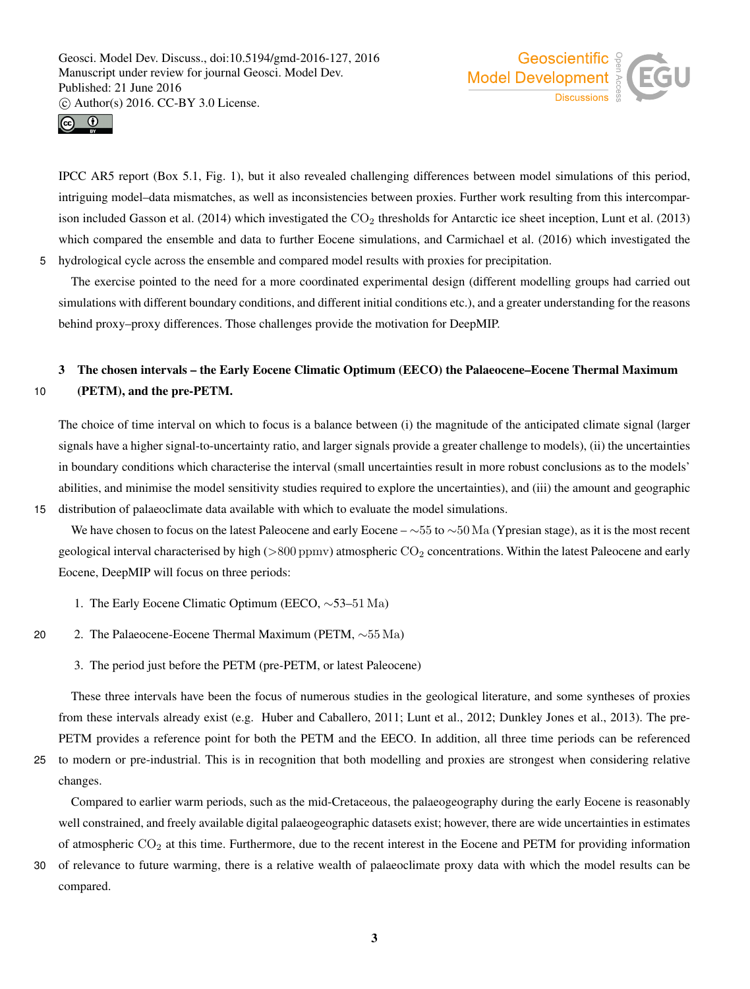



IPCC AR5 report (Box 5.1, Fig. 1), but it also revealed challenging differences between model simulations of this period, intriguing model–data mismatches, as well as inconsistencies between proxies. Further work resulting from this intercomparison included Gasson et al. (2014) which investigated the  $CO<sub>2</sub>$  thresholds for Antarctic ice sheet inception, Lunt et al. (2013) which compared the ensemble and data to further Eocene simulations, and Carmichael et al. (2016) which investigated the 5 hydrological cycle across the ensemble and compared model results with proxies for precipitation.

The exercise pointed to the need for a more coordinated experimental design (different modelling groups had carried out simulations with different boundary conditions, and different initial conditions etc.), and a greater understanding for the reasons behind proxy–proxy differences. Those challenges provide the motivation for DeepMIP.

# 3 The chosen intervals – the Early Eocene Climatic Optimum (EECO) the Palaeocene–Eocene Thermal Maximum 10 (PETM), and the pre-PETM.

The choice of time interval on which to focus is a balance between (i) the magnitude of the anticipated climate signal (larger signals have a higher signal-to-uncertainty ratio, and larger signals provide a greater challenge to models), (ii) the uncertainties in boundary conditions which characterise the interval (small uncertainties result in more robust conclusions as to the models' abilities, and minimise the model sensitivity studies required to explore the uncertainties), and (iii) the amount and geographic 15 distribution of palaeoclimate data available with which to evaluate the model simulations.

We have chosen to focus on the latest Paleocene and early Eocene –  $\sim$ 55 to  $\sim$ 50 Ma (Ypresian stage), as it is the most recent geological interval characterised by high ( $>800$  ppmv) atmospheric  $CO<sub>2</sub>$  concentrations. Within the latest Paleocene and early Eocene, DeepMIP will focus on three periods:

- 1. The Early Eocene Climatic Optimum (EECO, ∼53–51 Ma)
- 20 2. The Palaeocene-Eocene Thermal Maximum (PETM, ∼55 Ma)
	- 3. The period just before the PETM (pre-PETM, or latest Paleocene)

These three intervals have been the focus of numerous studies in the geological literature, and some syntheses of proxies from these intervals already exist (e.g. Huber and Caballero, 2011; Lunt et al., 2012; Dunkley Jones et al., 2013). The pre-PETM provides a reference point for both the PETM and the EECO. In addition, all three time periods can be referenced

25 to modern or pre-industrial. This is in recognition that both modelling and proxies are strongest when considering relative changes.

Compared to earlier warm periods, such as the mid-Cretaceous, the palaeogeography during the early Eocene is reasonably well constrained, and freely available digital palaeogeographic datasets exist; however, there are wide uncertainties in estimates of atmospheric  $CO<sub>2</sub>$  at this time. Furthermore, due to the recent interest in the Eocene and PETM for providing information

30 of relevance to future warming, there is a relative wealth of palaeoclimate proxy data with which the model results can be compared.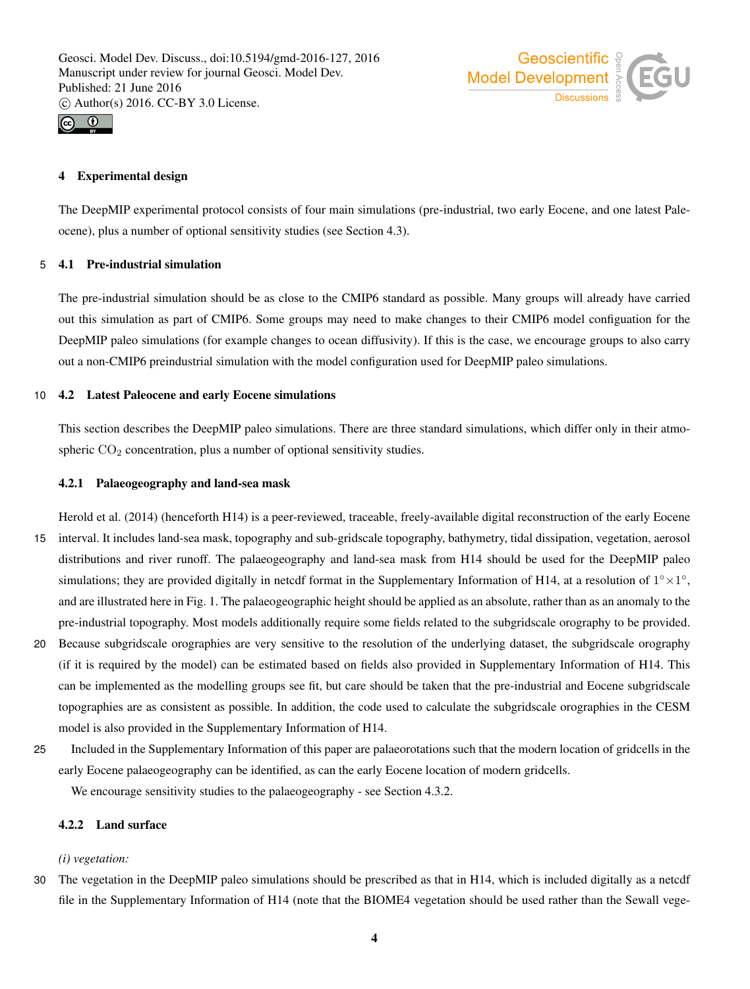



# 4 Experimental design

The DeepMIP experimental protocol consists of four main simulations (pre-industrial, two early Eocene, and one latest Paleocene), plus a number of optional sensitivity studies (see Section 4.3).

#### 5 4.1 Pre-industrial simulation

The pre-industrial simulation should be as close to the CMIP6 standard as possible. Many groups will already have carried out this simulation as part of CMIP6. Some groups may need to make changes to their CMIP6 model configuation for the DeepMIP paleo simulations (for example changes to ocean diffusivity). If this is the case, we encourage groups to also carry out a non-CMIP6 preindustrial simulation with the model configuration used for DeepMIP paleo simulations.

#### 10 4.2 Latest Paleocene and early Eocene simulations

This section describes the DeepMIP paleo simulations. There are three standard simulations, which differ only in their atmospheric  $CO<sub>2</sub>$  concentration, plus a number of optional sensitivity studies.

#### 4.2.1 Palaeogeography and land-sea mask

Herold et al. (2014) (henceforth H14) is a peer-reviewed, traceable, freely-available digital reconstruction of the early Eocene 15 interval. It includes land-sea mask, topography and sub-gridscale topography, bathymetry, tidal dissipation, vegetation, aerosol distributions and river runoff. The palaeogeography and land-sea mask from H14 should be used for the DeepMIP paleo simulations; they are provided digitally in netcdf format in the Supplementary Information of H14, at a resolution of  $1^{\circ} \times 1^{\circ}$ , and are illustrated here in Fig. 1. The palaeogeographic height should be applied as an absolute, rather than as an anomaly to the pre-industrial topography. Most models additionally require some fields related to the subgridscale orography to be provided.

- 20 Because subgridscale orographies are very sensitive to the resolution of the underlying dataset, the subgridscale orography (if it is required by the model) can be estimated based on fields also provided in Supplementary Information of H14. This can be implemented as the modelling groups see fit, but care should be taken that the pre-industrial and Eocene subgridscale topographies are as consistent as possible. In addition, the code used to calculate the subgridscale orographies in the CESM model is also provided in the Supplementary Information of H14.
- 25 Included in the Supplementary Information of this paper are palaeorotations such that the modern location of gridcells in the early Eocene palaeogeography can be identified, as can the early Eocene location of modern gridcells.

We encourage sensitivity studies to the palaeogeography - see Section 4.3.2.

# 4.2.2 Land surface

# *(i) vegetation:*

30 The vegetation in the DeepMIP paleo simulations should be prescribed as that in H14, which is included digitally as a netcdf file in the Supplementary Information of H14 (note that the BIOME4 vegetation should be used rather than the Sewall vege-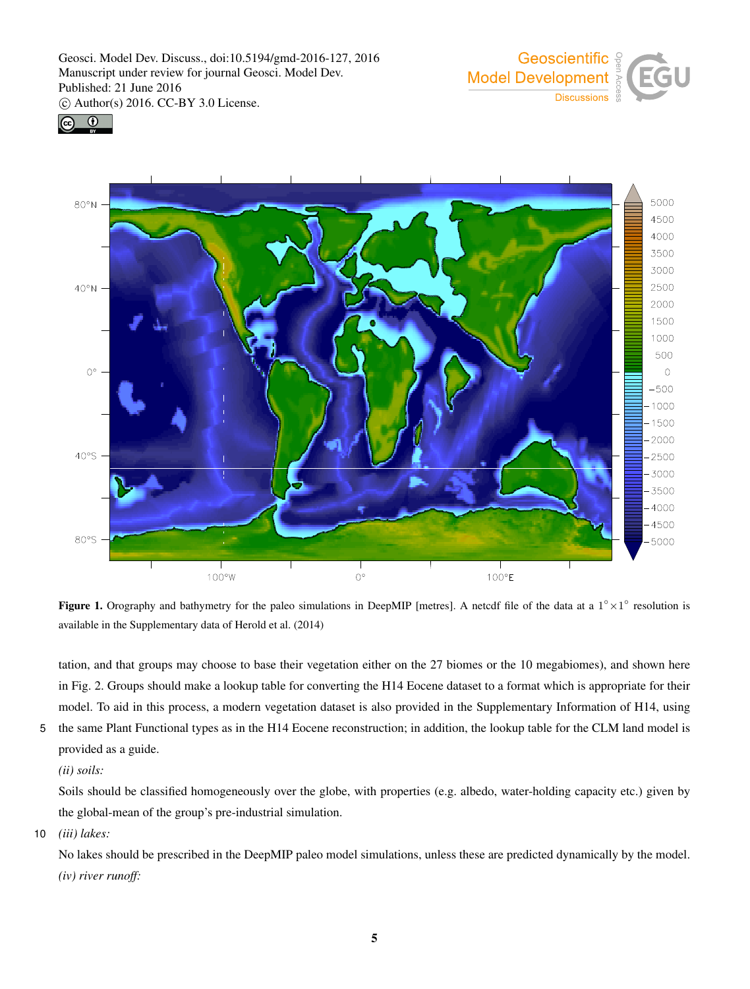





Figure 1. Orography and bathymetry for the paleo simulations in DeepMIP [metres]. A netcdf file of the data at a  $1^{\circ} \times 1^{\circ}$  resolution is available in the Supplementary data of Herold et al. (2014)

tation, and that groups may choose to base their vegetation either on the 27 biomes or the 10 megabiomes), and shown here in Fig. 2. Groups should make a lookup table for converting the H14 Eocene dataset to a format which is appropriate for their model. To aid in this process, a modern vegetation dataset is also provided in the Supplementary Information of H14, using

5 the same Plant Functional types as in the H14 Eocene reconstruction; in addition, the lookup table for the CLM land model is provided as a guide.

# *(ii) soils:*

Soils should be classified homogeneously over the globe, with properties (e.g. albedo, water-holding capacity etc.) given by the global-mean of the group's pre-industrial simulation.

# 10 *(iii) lakes:*

No lakes should be prescribed in the DeepMIP paleo model simulations, unless these are predicted dynamically by the model. *(iv) river runoff:*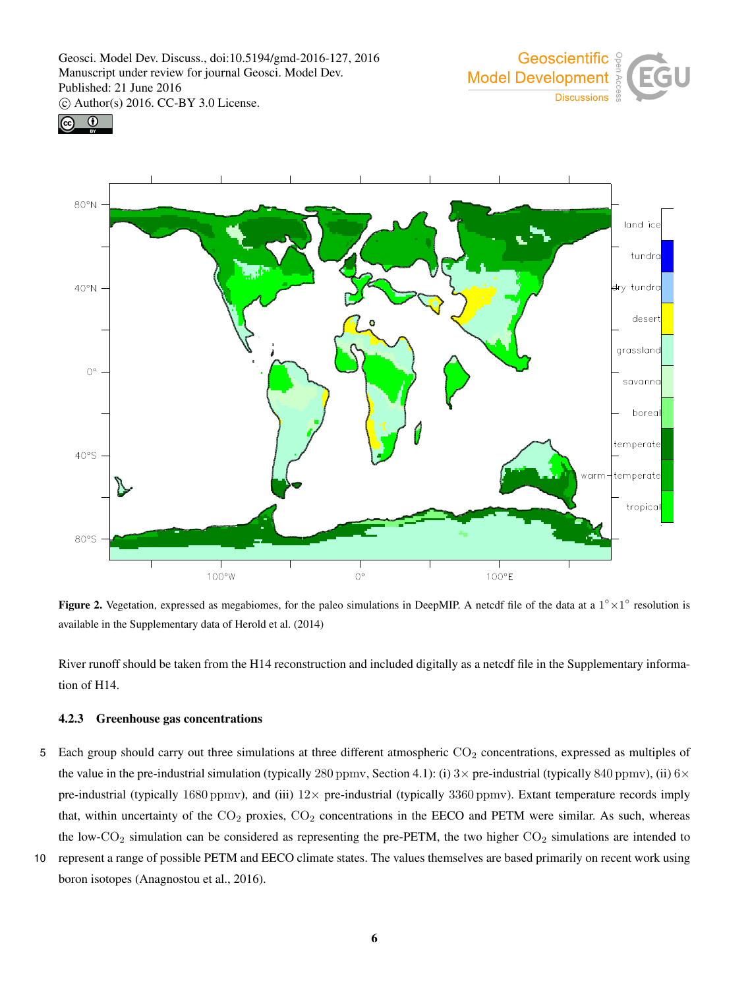





Figure 2. Vegetation, expressed as megabiomes, for the paleo simulations in DeepMIP. A netcdf file of the data at a  $1^{\circ} \times 1^{\circ}$  resolution is available in the Supplementary data of Herold et al. (2014)

River runoff should be taken from the H14 reconstruction and included digitally as a netcdf file in the Supplementary information of H14.

#### 4.2.3 Greenhouse gas concentrations

- 5 Each group should carry out three simulations at three different atmospheric  $CO<sub>2</sub>$  concentrations, expressed as multiples of the value in the pre-industrial simulation (typically 280 ppmv, Section 4.1): (i)  $3\times$  pre-industrial (typically 840 ppmv), (ii)  $6\times$ pre-industrial (typically 1680 ppmv), and (iii)  $12 \times$  pre-industrial (typically 3360 ppmv). Extant temperature records imply that, within uncertainty of the  $CO_2$  proxies,  $CO_2$  concentrations in the EECO and PETM were similar. As such, whereas the low-CO<sub>2</sub> simulation can be considered as representing the pre-PETM, the two higher  $CO_2$  simulations are intended to
- 10 represent a range of possible PETM and EECO climate states. The values themselves are based primarily on recent work using boron isotopes (Anagnostou et al., 2016).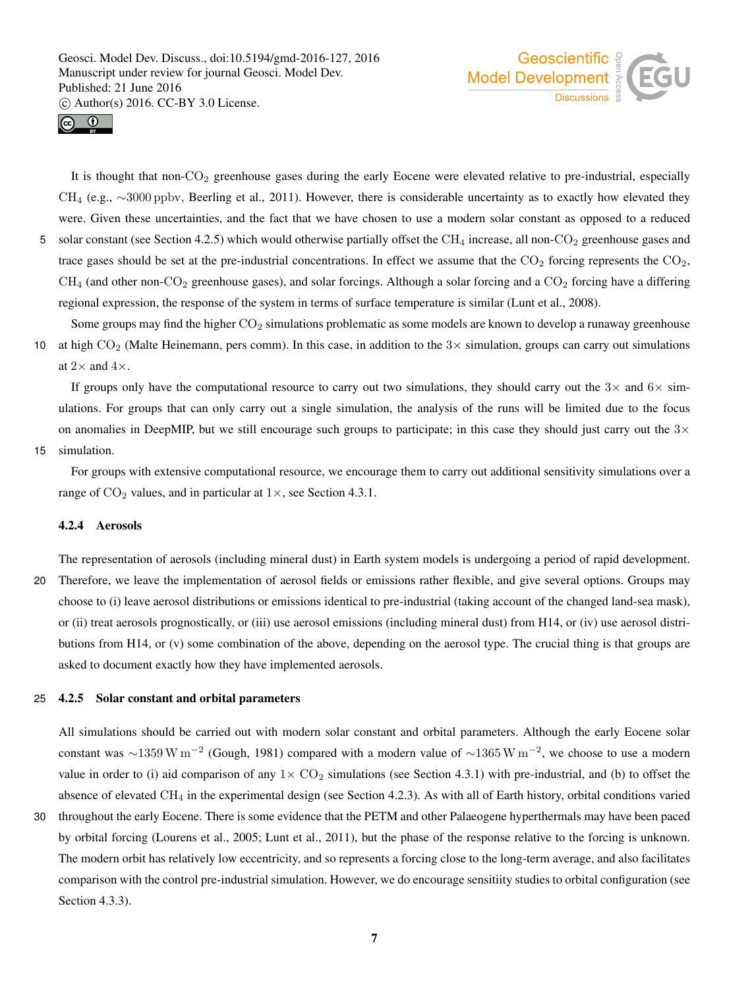



It is thought that non- $CO<sub>2</sub>$  greenhouse gases during the early Eocene were elevated relative to pre-industrial, especially CH<sup>4</sup> (e.g., ∼3000 ppbv, Beerling et al., 2011). However, there is considerable uncertainty as to exactly how elevated they were. Given these uncertainties, and the fact that we have chosen to use a modern solar constant as opposed to a reduced 5 solar constant (see Section 4.2.5) which would otherwise partially offset the CH<sub>4</sub> increase, all non-CO<sub>2</sub> greenhouse gases and trace gases should be set at the pre-industrial concentrations. In effect we assume that the  $CO_2$  forcing represents the  $CO_2$ ,  $CH_4$  (and other non-CO<sub>2</sub> greenhouse gases), and solar forcings. Although a solar forcing and a CO<sub>2</sub> forcing have a differing regional expression, the response of the system in terms of surface temperature is similar (Lunt et al., 2008).

Some groups may find the higher  $CO<sub>2</sub>$  simulations problematic as some models are known to develop a runaway greenhouse 10 at high  $CO<sub>2</sub>$  (Malte Heinemann, pers comm). In this case, in addition to the  $3\times$  simulation, groups can carry out simulations at  $2\times$  and  $4\times$ .

If groups only have the computational resource to carry out two simulations, they should carry out the  $3\times$  and  $6\times$  simulations. For groups that can only carry out a single simulation, the analysis of the runs will be limited due to the focus on anomalies in DeepMIP, but we still encourage such groups to participate; in this case they should just carry out the  $3\times$ 

#### 15 simulation.

For groups with extensive computational resource, we encourage them to carry out additional sensitivity simulations over a range of  $CO_2$  values, and in particular at  $1\times$ , see Section 4.3.1.

#### 4.2.4 Aerosols

The representation of aerosols (including mineral dust) in Earth system models is undergoing a period of rapid development. 20 Therefore, we leave the implementation of aerosol fields or emissions rather flexible, and give several options. Groups may choose to (i) leave aerosol distributions or emissions identical to pre-industrial (taking account of the changed land-sea mask), or (ii) treat aerosols prognostically, or (iii) use aerosol emissions (including mineral dust) from H14, or (iv) use aerosol distributions from H14, or (v) some combination of the above, depending on the aerosol type. The crucial thing is that groups are asked to document exactly how they have implemented aerosols.

#### 25 4.2.5 Solar constant and orbital parameters

All simulations should be carried out with modern solar constant and orbital parameters. Although the early Eocene solar constant was  $\sim$ 1359 W m<sup>-2</sup> (Gough, 1981) compared with a modern value of  $\sim$ 1365 W m<sup>-2</sup>, we choose to use a modern value in order to (i) aid comparison of any  $1 \times CO_2$  simulations (see Section 4.3.1) with pre-industrial, and (b) to offset the absence of elevated  $CH_4$  in the experimental design (see Section 4.2.3). As with all of Earth history, orbital conditions varied

30 throughout the early Eocene. There is some evidence that the PETM and other Palaeogene hyperthermals may have been paced by orbital forcing (Lourens et al., 2005; Lunt et al., 2011), but the phase of the response relative to the forcing is unknown. The modern orbit has relatively low eccentricity, and so represents a forcing close to the long-term average, and also facilitates comparison with the control pre-industrial simulation. However, we do encourage sensitiity studies to orbital configuration (see Section 4.3.3).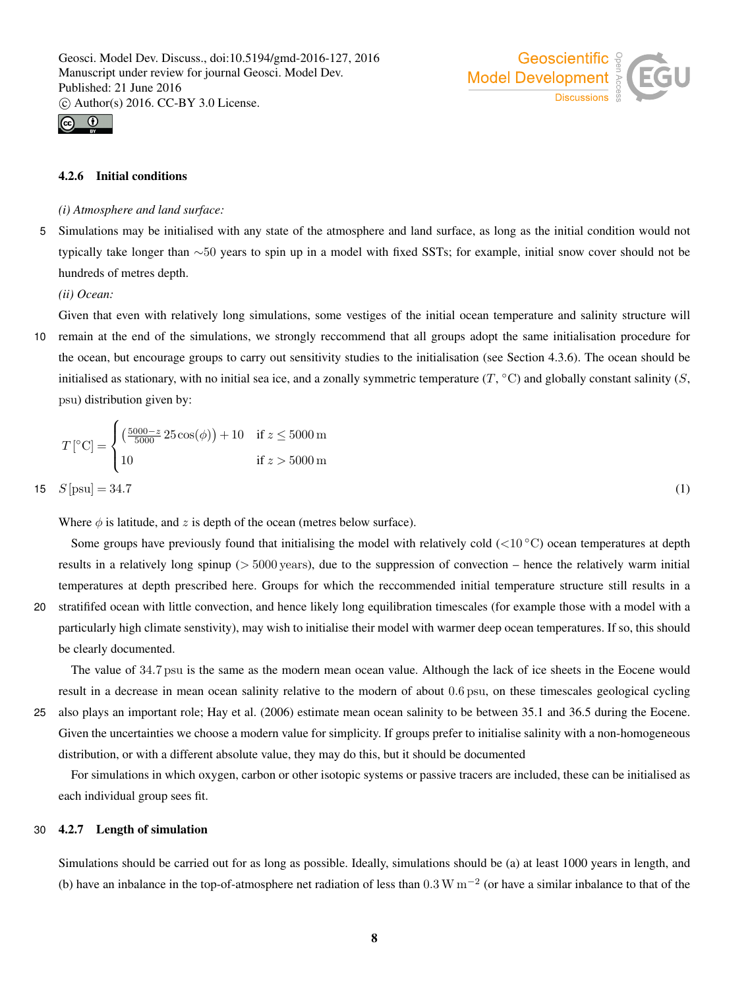



# 4.2.6 Initial conditions

 $\epsilon$ 

#### *(i) Atmosphere and land surface:*

5 Simulations may be initialised with any state of the atmosphere and land surface, as long as the initial condition would not typically take longer than ∼50 years to spin up in a model with fixed SSTs; for example, initial snow cover should not be hundreds of metres depth.

*(ii) Ocean:*

Given that even with relatively long simulations, some vestiges of the initial ocean temperature and salinity structure will 10 remain at the end of the simulations, we strongly reccommend that all groups adopt the same initialisation procedure for

the ocean, but encourage groups to carry out sensitivity studies to the initialisation (see Section 4.3.6). The ocean should be initialised as stationary, with no initial sea ice, and a zonally symmetric temperature  $(T, {}^{\circ}C)$  and globally constant salinity  $(S,$ psu) distribution given by:

$$
T[^{\circ}C] = \begin{cases} \left(\frac{5000 - z}{5000} \cdot 25 \cos(\phi)\right) + 10 & \text{if } z \le 5000 \,\text{m} \\ 10 & \text{if } z > 5000 \,\text{m} \end{cases}
$$
  
15  $S[\text{psu}] = 34.7$  (1)

Where  $\phi$  is latitude, and z is depth of the ocean (metres below surface).

Some groups have previously found that initialising the model with relatively cold ( $<$ 10 °C) ocean temperatures at depth results in a relatively long spinup ( $> 5000$  years), due to the suppression of convection – hence the relatively warm initial temperatures at depth prescribed here. Groups for which the reccommended initial temperature structure still results in a

20 stratififed ocean with little convection, and hence likely long equilibration timescales (for example those with a model with a particularly high climate senstivity), may wish to initialise their model with warmer deep ocean temperatures. If so, this should be clearly documented.

The value of 34.7 psu is the same as the modern mean ocean value. Although the lack of ice sheets in the Eocene would result in a decrease in mean ocean salinity relative to the modern of about 0.6 psu, on these timescales geological cycling

25 also plays an important role; Hay et al. (2006) estimate mean ocean salinity to be between 35.1 and 36.5 during the Eocene. Given the uncertainties we choose a modern value for simplicity. If groups prefer to initialise salinity with a non-homogeneous distribution, or with a different absolute value, they may do this, but it should be documented

For simulations in which oxygen, carbon or other isotopic systems or passive tracers are included, these can be initialised as each individual group sees fit.

#### 30 4.2.7 Length of simulation

Simulations should be carried out for as long as possible. Ideally, simulations should be (a) at least 1000 years in length, and (b) have an inbalance in the top-of-atmosphere net radiation of less than  $0.3 \text{ W m}^{-2}$  (or have a similar inbalance to that of the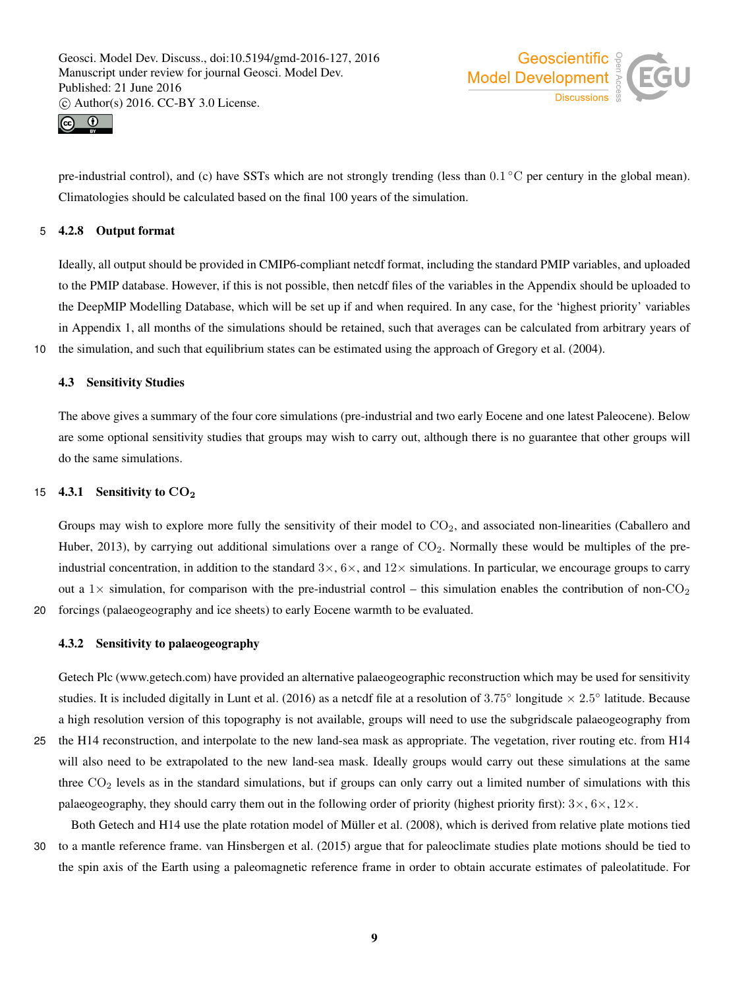



pre-industrial control), and (c) have SSTs which are not strongly trending (less than  $0.1^{\circ}$ C per century in the global mean). Climatologies should be calculated based on the final 100 years of the simulation.

#### 5 4.2.8 Output format

Ideally, all output should be provided in CMIP6-compliant netcdf format, including the standard PMIP variables, and uploaded to the PMIP database. However, if this is not possible, then netcdf files of the variables in the Appendix should be uploaded to the DeepMIP Modelling Database, which will be set up if and when required. In any case, for the 'highest priority' variables in Appendix 1, all months of the simulations should be retained, such that averages can be calculated from arbitrary years of

10 the simulation, and such that equilibrium states can be estimated using the approach of Gregory et al. (2004).

# 4.3 Sensitivity Studies

The above gives a summary of the four core simulations (pre-industrial and two early Eocene and one latest Paleocene). Below are some optional sensitivity studies that groups may wish to carry out, although there is no guarantee that other groups will do the same simulations.

# 15 4.3.1 Sensitivity to  $CO<sub>2</sub>$

Groups may wish to explore more fully the sensitivity of their model to  $CO<sub>2</sub>$ , and associated non-linearities (Caballero and Huber, 2013), by carrying out additional simulations over a range of  $CO<sub>2</sub>$ . Normally these would be multiples of the preindustrial concentration, in addition to the standard  $3\times$ ,  $6\times$ , and  $12\times$  simulations. In particular, we encourage groups to carry out a  $1\times$  simulation, for comparison with the pre-industrial control – this simulation enables the contribution of non-CO<sub>2</sub> 20 forcings (palaeogeography and ice sheets) to early Eocene warmth to be evaluated.

#### 4.3.2 Sensitivity to palaeogeography

Getech Plc (www.getech.com) have provided an alternative palaeogeographic reconstruction which may be used for sensitivity studies. It is included digitally in Lunt et al. (2016) as a netcdf file at a resolution of 3.75 $^{\circ}$  longitude  $\times$  2.5 $^{\circ}$  latitude. Because a high resolution version of this topography is not available, groups will need to use the subgridscale palaeogeography from

- 25 the H14 reconstruction, and interpolate to the new land-sea mask as appropriate. The vegetation, river routing etc. from H14 will also need to be extrapolated to the new land-sea mask. Ideally groups would carry out these simulations at the same three  $CO<sub>2</sub>$  levels as in the standard simulations, but if groups can only carry out a limited number of simulations with this palaeogeography, they should carry them out in the following order of priority (highest priority first):  $3\times$ ,  $6\times$ ,  $12\times$ .
- Both Getech and H14 use the plate rotation model of Müller et al. (2008), which is derived from relative plate motions tied 30 to a mantle reference frame. van Hinsbergen et al. (2015) argue that for paleoclimate studies plate motions should be tied to the spin axis of the Earth using a paleomagnetic reference frame in order to obtain accurate estimates of paleolatitude. For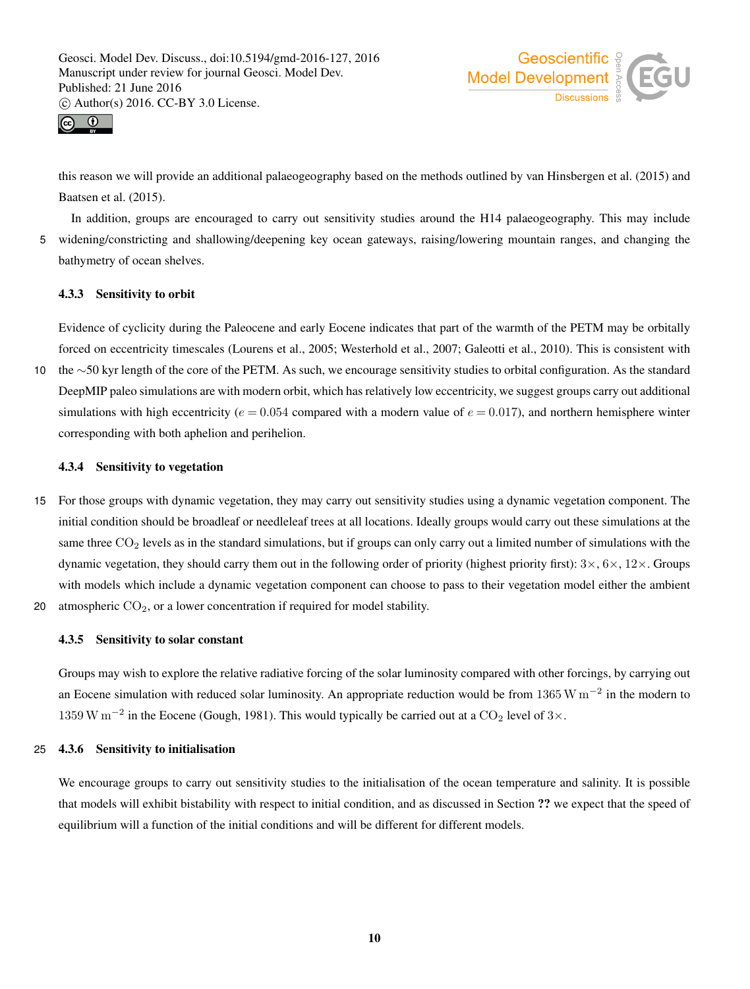



this reason we will provide an additional palaeogeography based on the methods outlined by van Hinsbergen et al. (2015) and Baatsen et al. (2015).

In addition, groups are encouraged to carry out sensitivity studies around the H14 palaeogeography. This may include 5 widening/constricting and shallowing/deepening key ocean gateways, raising/lowering mountain ranges, and changing the bathymetry of ocean shelves.

#### 4.3.3 Sensitivity to orbit

Evidence of cyclicity during the Paleocene and early Eocene indicates that part of the warmth of the PETM may be orbitally forced on eccentricity timescales (Lourens et al., 2005; Westerhold et al., 2007; Galeotti et al., 2010). This is consistent with

10 the ∼50 kyr length of the core of the PETM. As such, we encourage sensitivity studies to orbital configuration. As the standard DeepMIP paleo simulations are with modern orbit, which has relatively low eccentricity, we suggest groups carry out additional simulations with high eccentricity ( $e = 0.054$  compared with a modern value of  $e = 0.017$ ), and northern hemisphere winter corresponding with both aphelion and perihelion.

#### 4.3.4 Sensitivity to vegetation

- 15 For those groups with dynamic vegetation, they may carry out sensitivity studies using a dynamic vegetation component. The initial condition should be broadleaf or needleleaf trees at all locations. Ideally groups would carry out these simulations at the same three CO<sub>2</sub> levels as in the standard simulations, but if groups can only carry out a limited number of simulations with the dynamic vegetation, they should carry them out in the following order of priority (highest priority first):  $3 \times$ ,  $6 \times$ ,  $12 \times$ . Groups with models which include a dynamic vegetation component can choose to pass to their vegetation model either the ambient 20 atmospheric  $CO<sub>2</sub>$ , or a lower concentration if required for model stability.
- 

#### 4.3.5 Sensitivity to solar constant

Groups may wish to explore the relative radiative forcing of the solar luminosity compared with other forcings, by carrying out an Eocene simulation with reduced solar luminosity. An appropriate reduction would be from 1365 W  $m^{-2}$  in the modern to 1359 W m<sup>-2</sup> in the Eocene (Gough, 1981). This would typically be carried out at a CO<sub>2</sub> level of 3×.

#### 25 4.3.6 Sensitivity to initialisation

We encourage groups to carry out sensitivity studies to the initialisation of the ocean temperature and salinity. It is possible that models will exhibit bistability with respect to initial condition, and as discussed in Section ?? we expect that the speed of equilibrium will a function of the initial conditions and will be different for different models.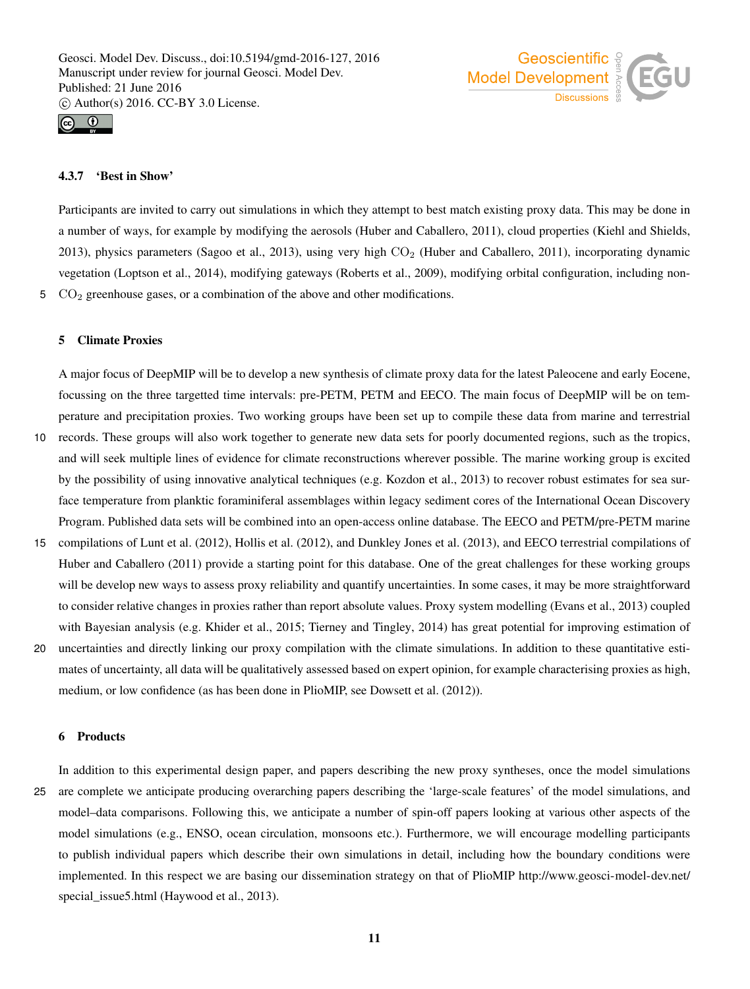



#### 4.3.7 'Best in Show'

Participants are invited to carry out simulations in which they attempt to best match existing proxy data. This may be done in a number of ways, for example by modifying the aerosols (Huber and Caballero, 2011), cloud properties (Kiehl and Shields, 2013), physics parameters (Sagoo et al., 2013), using very high  $CO<sub>2</sub>$  (Huber and Caballero, 2011), incorporating dynamic vegetation (Loptson et al., 2014), modifying gateways (Roberts et al., 2009), modifying orbital configuration, including non- $5$   $CO<sub>2</sub>$  greenhouse gases, or a combination of the above and other modifications.

#### 5 Climate Proxies

A major focus of DeepMIP will be to develop a new synthesis of climate proxy data for the latest Paleocene and early Eocene, focussing on the three targetted time intervals: pre-PETM, PETM and EECO. The main focus of DeepMIP will be on temperature and precipitation proxies. Two working groups have been set up to compile these data from marine and terrestrial

- 10 records. These groups will also work together to generate new data sets for poorly documented regions, such as the tropics, and will seek multiple lines of evidence for climate reconstructions wherever possible. The marine working group is excited by the possibility of using innovative analytical techniques (e.g. Kozdon et al., 2013) to recover robust estimates for sea surface temperature from planktic foraminiferal assemblages within legacy sediment cores of the International Ocean Discovery Program. Published data sets will be combined into an open-access online database. The EECO and PETM/pre-PETM marine
- 15 compilations of Lunt et al. (2012), Hollis et al. (2012), and Dunkley Jones et al. (2013), and EECO terrestrial compilations of Huber and Caballero (2011) provide a starting point for this database. One of the great challenges for these working groups will be develop new ways to assess proxy reliability and quantify uncertainties. In some cases, it may be more straightforward to consider relative changes in proxies rather than report absolute values. Proxy system modelling (Evans et al., 2013) coupled with Bayesian analysis (e.g. Khider et al., 2015; Tierney and Tingley, 2014) has great potential for improving estimation of
- 20 uncertainties and directly linking our proxy compilation with the climate simulations. In addition to these quantitative estimates of uncertainty, all data will be qualitatively assessed based on expert opinion, for example characterising proxies as high, medium, or low confidence (as has been done in PlioMIP, see Dowsett et al. (2012)).

# 6 Products

In addition to this experimental design paper, and papers describing the new proxy syntheses, once the model simulations 25 are complete we anticipate producing overarching papers describing the 'large-scale features' of the model simulations, and model–data comparisons. Following this, we anticipate a number of spin-off papers looking at various other aspects of the model simulations (e.g., ENSO, ocean circulation, monsoons etc.). Furthermore, we will encourage modelling participants to publish individual papers which describe their own simulations in detail, including how the boundary conditions were implemented. In this respect we are basing our dissemination strategy on that of PlioMIP http://www.geosci-model-dev.net/ special\_issue5.html (Haywood et al., 2013).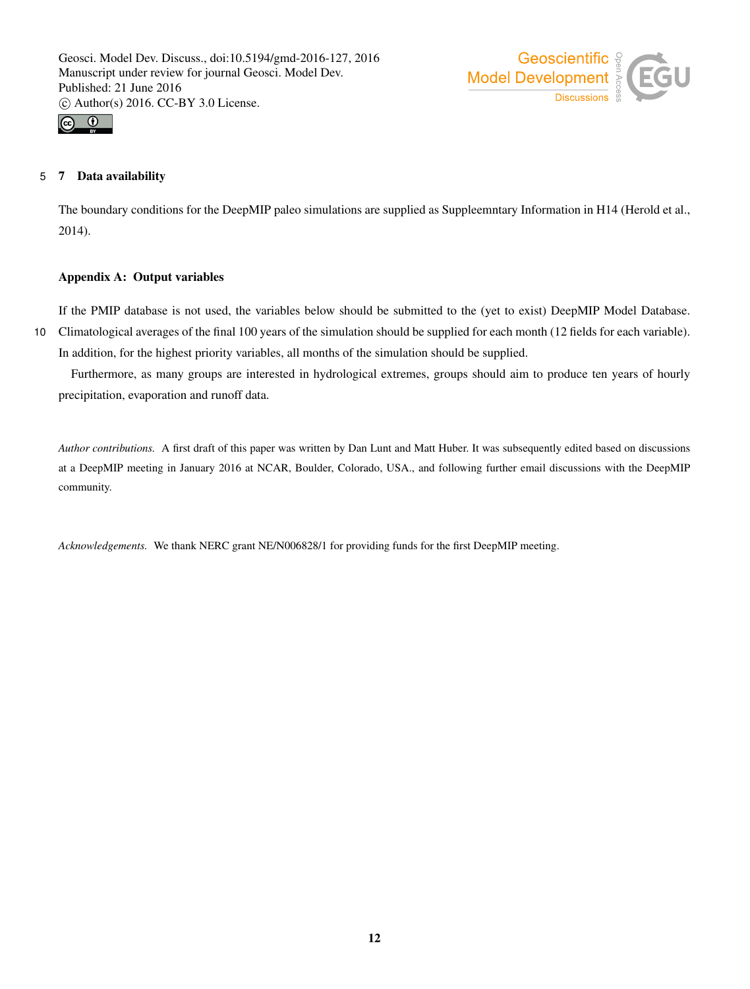



# 5 7 Data availability

The boundary conditions for the DeepMIP paleo simulations are supplied as Suppleemntary Information in H14 (Herold et al., 2014).

# Appendix A: Output variables

If the PMIP database is not used, the variables below should be submitted to the (yet to exist) DeepMIP Model Database.

10 Climatological averages of the final 100 years of the simulation should be supplied for each month (12 fields for each variable). In addition, for the highest priority variables, all months of the simulation should be supplied.

Furthermore, as many groups are interested in hydrological extremes, groups should aim to produce ten years of hourly precipitation, evaporation and runoff data.

*Author contributions.* A first draft of this paper was written by Dan Lunt and Matt Huber. It was subsequently edited based on discussions at a DeepMIP meeting in January 2016 at NCAR, Boulder, Colorado, USA., and following further email discussions with the DeepMIP community.

*Acknowledgements.* We thank NERC grant NE/N006828/1 for providing funds for the first DeepMIP meeting.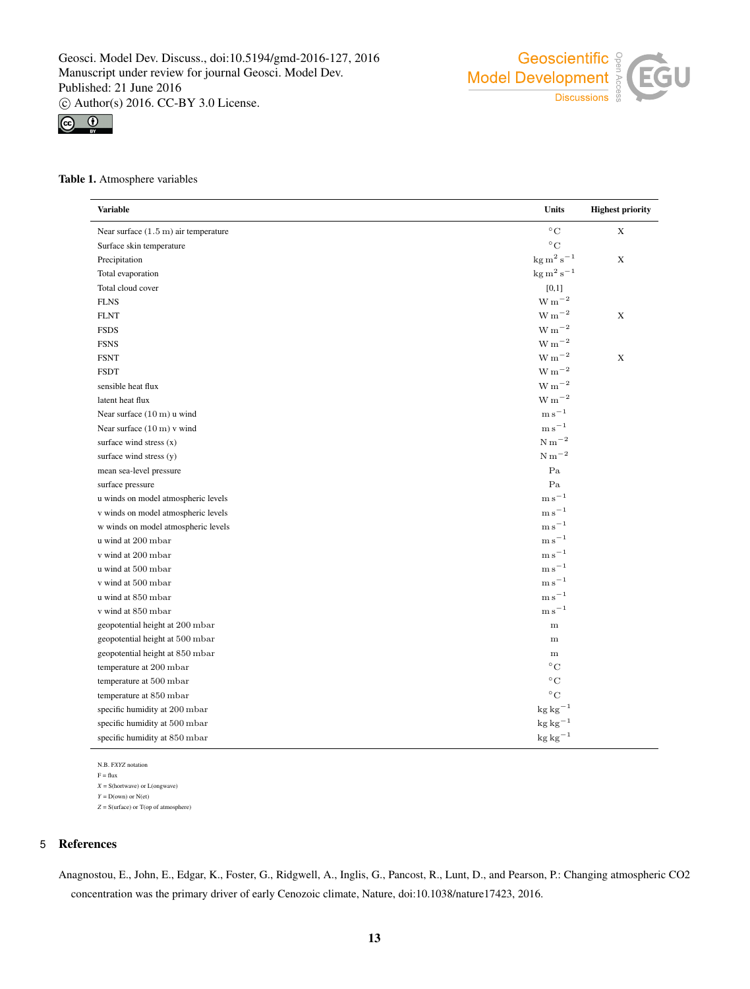



#### Table 1. Atmosphere variables

| <b>Variable</b>                                | Units                            | <b>Highest priority</b> |
|------------------------------------------------|----------------------------------|-------------------------|
| Near surface $(1.5 \text{ m})$ air temperature | $^{\circ}\mathrm{C}$             | $\mathbf X$             |
| Surface skin temperature                       | $^{\circ}$ C                     |                         |
| Precipitation                                  | $\text{kg m}^2 \text{ s}^{-1}$   | $\mathbf X$             |
| Total evaporation                              | $\text{kg m}^2 \text{ s}^{-1}$   |                         |
| Total cloud cover                              | $[0,1]$                          |                         |
| <b>FLNS</b>                                    | $\rm W\,m^{-2}$                  |                         |
| <b>FLNT</b>                                    | $\rm W\,m^{-2}$                  | $\mathbf X$             |
| <b>FSDS</b>                                    | $\rm W\,m^{-2}$                  |                         |
| <b>FSNS</b>                                    | $\rm W\,m^{-2}$                  |                         |
| <b>FSNT</b>                                    | $\mathrm{W\,m}^{-2}$             | $\mathbf X$             |
| <b>FSDT</b>                                    | $\mathrm{W\,m}^{-2}$             |                         |
| sensible heat flux                             | $\mathrm{W\,m}^{-2}$             |                         |
| latent heat flux                               | $\mathrm{W\,m}^{-2}$             |                         |
| Near surface $(10 \text{ m})$ u wind           | ${\rm m\,s}^{-1}$                |                         |
| Near surface $(10 \text{ m})$ v wind           | ${\rm m\,s}^{-1}$                |                         |
| surface wind stress $(x)$                      | $\mathrm{N\,m}^{-2}$             |                         |
| surface wind stress (y)                        | $N m^{-2}$                       |                         |
| mean sea-level pressure                        | Pa                               |                         |
| surface pressure                               | Pa                               |                         |
| u winds on model atmospheric levels            | ${\rm m\,s}^{-1}$                |                         |
| v winds on model atmospheric levels            | ${\rm m\,s}^{-1}$                |                         |
| w winds on model atmospheric levels            | ${\rm m\,s}^{-1}$                |                         |
| u wind at 200 mbar                             | $\mathrm{m\,s}^{-1}$             |                         |
| v wind at 200 mbar                             | $\mathrm{m\,s}^{-1}$             |                         |
| u wind at 500 mbar                             | $\mathrm{m\,s}^{-1}$             |                         |
| v wind at 500 mbar                             | $\mathrm{m\,s}^{-1}$             |                         |
| u wind at 850 mbar                             | $\mathrm{m\,s}^{-1}$             |                         |
| v wind at 850 mbar                             | ${\rm m\,s}^{-1}$                |                         |
| geopotential height at 200 mbar                | ${\bf m}$                        |                         |
| geopotential height at 500 mbar                | ${\bf m}$                        |                         |
| geopotential height at 850 mbar                | m                                |                         |
| temperature at 200 mbar                        | $^{\circ}$ C                     |                         |
| temperature at 500 mbar                        | $^{\circ}$ C                     |                         |
| temperature at 850 mbar                        | $^{\circ}$ C                     |                         |
| specific humidity at 200 mbar                  | $kg\,kg^{-1}$                    |                         |
| specific humidity at 500 mbar                  | $\mathrm{kg}\, \mathrm{kg}^{-1}$ |                         |
| specific humidity at 850 mbar                  | $kg kg^{-1}$                     |                         |

N.B. F*XYZ* notation  $\mathbf{F} = \mathbf{flux}$ *X* = S(hortwave) or L(ongwave)  $Y = D(\text{own})$  or  $N(\text{et})$ *Z* = S(urface) or T(op of atmosphere)

#### 5 References

Anagnostou, E., John, E., Edgar, K., Foster, G., Ridgwell, A., Inglis, G., Pancost, R., Lunt, D., and Pearson, P.: Changing atmospheric CO2 concentration was the primary driver of early Cenozoic climate, Nature, doi:10.1038/nature17423, 2016.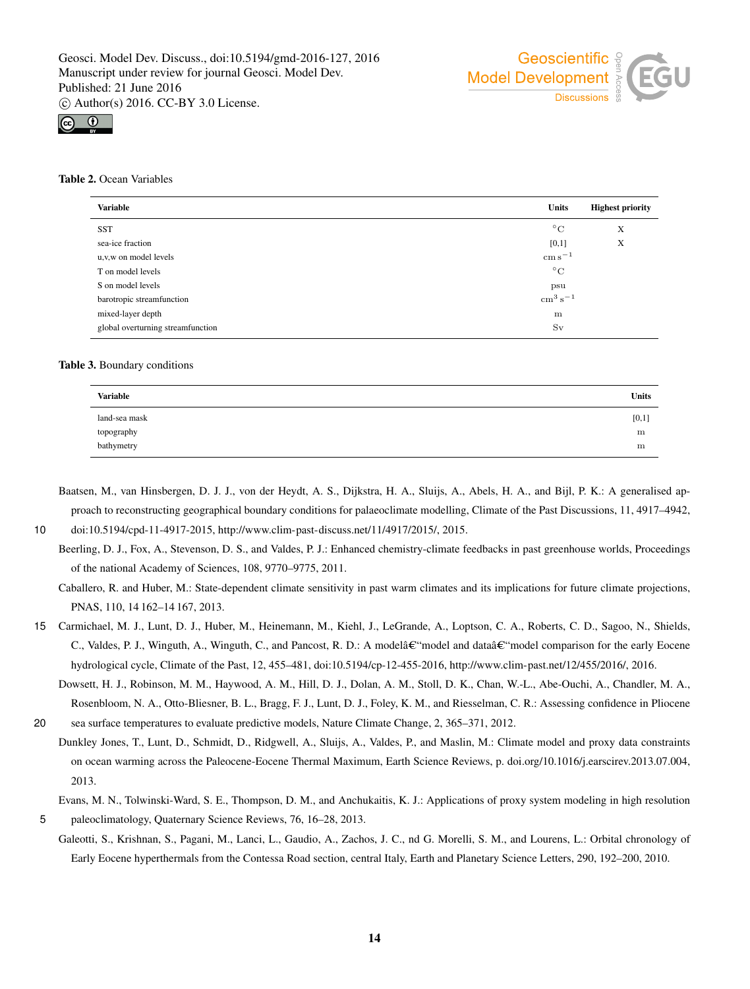



#### Table 2. Ocean Variables

| <b>Variable</b>                   | <b>Units</b>                     | <b>Highest priority</b> |
|-----------------------------------|----------------------------------|-------------------------|
| <b>SST</b>                        | $^{\circ}$ C                     | X                       |
| sea-ice fraction                  | [0,1]                            | X                       |
| u, v, w on model levels           | $\mathrm{cm}\,\mathrm{s}^{-1}$   |                         |
| T on model levels                 | $^{\circ}$ C                     |                         |
| S on model levels                 | psu                              |                         |
| barotropic streamfunction         | $\mathrm{cm}^3\,\mathrm{s}^{-1}$ |                         |
| mixed-layer depth                 | $\,$ m                           |                         |
| global overturning streamfunction | Sv                               |                         |
|                                   |                                  |                         |

#### Table 3. Boundary conditions

| <b>Variable</b> | <b>Units</b> |
|-----------------|--------------|
| land-sea mask   | [0,1]        |
| topography      | m            |
| bathymetry      | m            |

Baatsen, M., van Hinsbergen, D. J. J., von der Heydt, A. S., Dijkstra, H. A., Sluijs, A., Abels, H. A., and Bijl, P. K.: A generalised approach to reconstructing geographical boundary conditions for palaeoclimate modelling, Climate of the Past Discussions, 11, 4917–4942,

2013.

10 doi:10.5194/cpd-11-4917-2015, http://www.clim-past-discuss.net/11/4917/2015/, 2015.

Beerling, D. J., Fox, A., Stevenson, D. S., and Valdes, P. J.: Enhanced chemistry-climate feedbacks in past greenhouse worlds, Proceedings of the national Academy of Sciences, 108, 9770–9775, 2011.

Caballero, R. and Huber, M.: State-dependent climate sensitivity in past warm climates and its implications for future climate projections, PNAS, 110, 14 162–14 167, 2013.

15 Carmichael, M. J., Lunt, D. J., Huber, M., Heinemann, M., Kiehl, J., LeGrande, A., Loptson, C. A., Roberts, C. D., Sagoo, N., Shields, C., Valdes, P. J., Winguth, A., Winguth, C., and Pancost, R. D.: A model–model and data–model comparison for the early Eocene hydrological cycle, Climate of the Past, 12, 455–481, doi:10.5194/cp-12-455-2016, http://www.clim-past.net/12/455/2016/, 2016.

Dowsett, H. J., Robinson, M. M., Haywood, A. M., Hill, D. J., Dolan, A. M., Stoll, D. K., Chan, W.-L., Abe-Ouchi, A., Chandler, M. A., Rosenbloom, N. A., Otto-Bliesner, B. L., Bragg, F. J., Lunt, D. J., Foley, K. M., and Riesselman, C. R.: Assessing confidence in Pliocene 20 sea surface temperatures to evaluate predictive models, Nature Climate Change, 2, 365–371, 2012.

Dunkley Jones, T., Lunt, D., Schmidt, D., Ridgwell, A., Sluijs, A., Valdes, P., and Maslin, M.: Climate model and proxy data constraints on ocean warming across the Paleocene-Eocene Thermal Maximum, Earth Science Reviews, p. doi.org/10.1016/j.earscirev.2013.07.004,

5 paleoclimatology, Quaternary Science Reviews, 76, 16–28, 2013.

Galeotti, S., Krishnan, S., Pagani, M., Lanci, L., Gaudio, A., Zachos, J. C., nd G. Morelli, S. M., and Lourens, L.: Orbital chronology of Early Eocene hyperthermals from the Contessa Road section, central Italy, Earth and Planetary Science Letters, 290, 192–200, 2010.

Evans, M. N., Tolwinski-Ward, S. E., Thompson, D. M., and Anchukaitis, K. J.: Applications of proxy system modeling in high resolution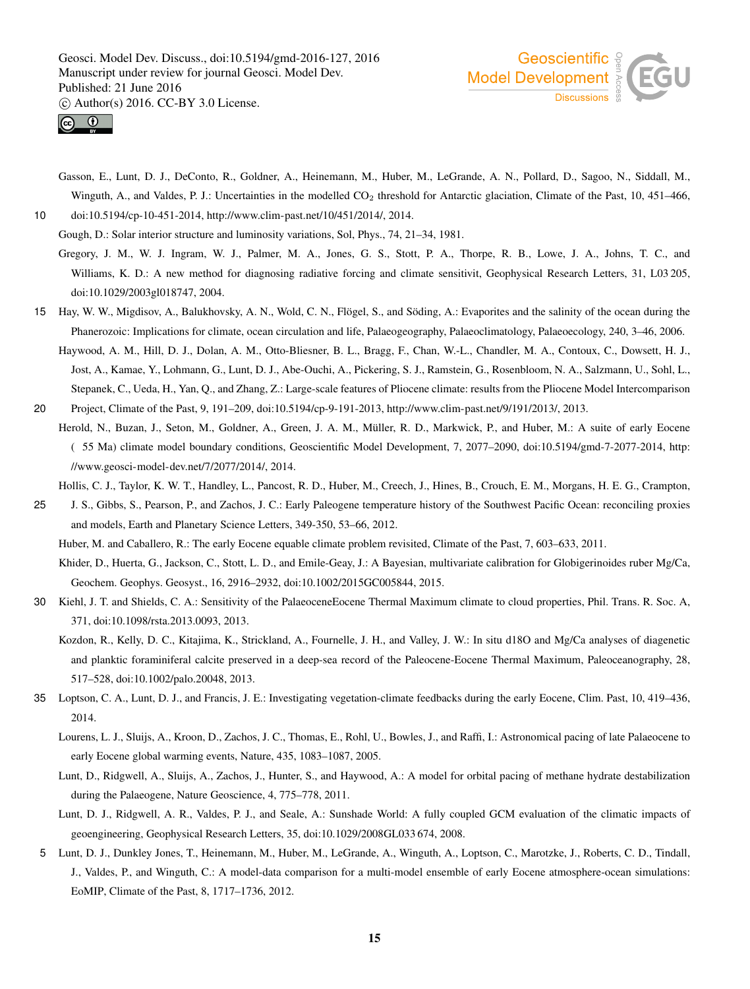



Gasson, E., Lunt, D. J., DeConto, R., Goldner, A., Heinemann, M., Huber, M., LeGrande, A. N., Pollard, D., Sagoo, N., Siddall, M., Winguth, A., and Valdes, P. J.: Uncertainties in the modelled CO<sub>2</sub> threshold for Antarctic glaciation, Climate of the Past, 10, 451–466, 10 doi:10.5194/cp-10-451-2014, http://www.clim-past.net/10/451/2014/, 2014.

Gough, D.: Solar interior structure and luminosity variations, Sol, Phys., 74, 21–34, 1981.

- Gregory, J. M., W. J. Ingram, W. J., Palmer, M. A., Jones, G. S., Stott, P. A., Thorpe, R. B., Lowe, J. A., Johns, T. C., and Williams, K. D.: A new method for diagnosing radiative forcing and climate sensitivit, Geophysical Research Letters, 31, L03 205, doi:10.1029/2003gl018747, 2004.
- 15 Hay, W. W., Migdisov, A., Balukhovsky, A. N., Wold, C. N., Flögel, S., and Söding, A.: Evaporites and the salinity of the ocean during the Phanerozoic: Implications for climate, ocean circulation and life, Palaeogeography, Palaeoclimatology, Palaeoecology, 240, 3–46, 2006.
- Haywood, A. M., Hill, D. J., Dolan, A. M., Otto-Bliesner, B. L., Bragg, F., Chan, W.-L., Chandler, M. A., Contoux, C., Dowsett, H. J., Jost, A., Kamae, Y., Lohmann, G., Lunt, D. J., Abe-Ouchi, A., Pickering, S. J., Ramstein, G., Rosenbloom, N. A., Salzmann, U., Sohl, L., Stepanek, C., Ueda, H., Yan, Q., and Zhang, Z.: Large-scale features of Pliocene climate: results from the Pliocene Model Intercomparison 20 Project, Climate of the Past, 9, 191–209, doi:10.5194/cp-9-191-2013, http://www.clim-past.net/9/191/2013/, 2013.
- Herold, N., Buzan, J., Seton, M., Goldner, A., Green, J. A. M., Müller, R. D., Markwick, P., and Huber, M.: A suite of early Eocene ( 55 Ma) climate model boundary conditions, Geoscientific Model Development, 7, 2077–2090, doi:10.5194/gmd-7-2077-2014, http: //www.geosci-model-dev.net/7/2077/2014/, 2014.

Hollis, C. J., Taylor, K. W. T., Handley, L., Pancost, R. D., Huber, M., Creech, J., Hines, B., Crouch, E. M., Morgans, H. E. G., Crampton,

- 25 J. S., Gibbs, S., Pearson, P., and Zachos, J. C.: Early Paleogene temperature history of the Southwest Pacific Ocean: reconciling proxies and models, Earth and Planetary Science Letters, 349-350, 53–66, 2012.
	- Huber, M. and Caballero, R.: The early Eocene equable climate problem revisited, Climate of the Past, 7, 603–633, 2011.
	- Khider, D., Huerta, G., Jackson, C., Stott, L. D., and Emile-Geay, J.: A Bayesian, multivariate calibration for Globigerinoides ruber Mg/Ca, Geochem. Geophys. Geosyst., 16, 2916–2932, doi:10.1002/2015GC005844, 2015.
- 30 Kiehl, J. T. and Shields, C. A.: Sensitivity of the PalaeoceneEocene Thermal Maximum climate to cloud properties, Phil. Trans. R. Soc. A, 371, doi:10.1098/rsta.2013.0093, 2013.
	- Kozdon, R., Kelly, D. C., Kitajima, K., Strickland, A., Fournelle, J. H., and Valley, J. W.: In situ d18O and Mg/Ca analyses of diagenetic and planktic foraminiferal calcite preserved in a deep-sea record of the Paleocene-Eocene Thermal Maximum, Paleoceanography, 28, 517–528, doi:10.1002/palo.20048, 2013.
- 35 Loptson, C. A., Lunt, D. J., and Francis, J. E.: Investigating vegetation-climate feedbacks during the early Eocene, Clim. Past, 10, 419–436, 2014.
	- Lourens, L. J., Sluijs, A., Kroon, D., Zachos, J. C., Thomas, E., Rohl, U., Bowles, J., and Raffi, I.: Astronomical pacing of late Palaeocene to early Eocene global warming events, Nature, 435, 1083–1087, 2005.
	- Lunt, D., Ridgwell, A., Sluijs, A., Zachos, J., Hunter, S., and Haywood, A.: A model for orbital pacing of methane hydrate destabilization during the Palaeogene, Nature Geoscience, 4, 775–778, 2011.
	- Lunt, D. J., Ridgwell, A. R., Valdes, P. J., and Seale, A.: Sunshade World: A fully coupled GCM evaluation of the climatic impacts of geoengineering, Geophysical Research Letters, 35, doi:10.1029/2008GL033 674, 2008.
- 5 Lunt, D. J., Dunkley Jones, T., Heinemann, M., Huber, M., LeGrande, A., Winguth, A., Loptson, C., Marotzke, J., Roberts, C. D., Tindall, J., Valdes, P., and Winguth, C.: A model-data comparison for a multi-model ensemble of early Eocene atmosphere-ocean simulations: EoMIP, Climate of the Past, 8, 1717–1736, 2012.